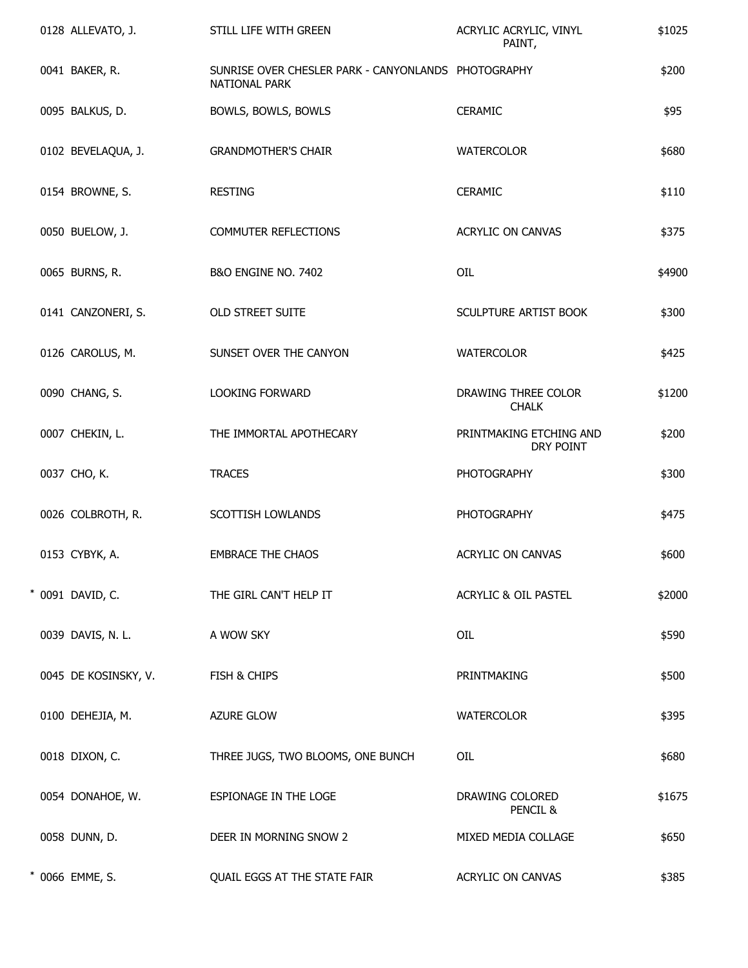|  | 0128 ALLEVATO, J.    | STILL LIFE WITH GREEN                                                | ACRYLIC ACRYLIC, VINYL<br>PAINT,     | \$1025 |
|--|----------------------|----------------------------------------------------------------------|--------------------------------------|--------|
|  | 0041 BAKER, R.       | SUNRISE OVER CHESLER PARK - CANYONLANDS PHOTOGRAPHY<br>NATIONAL PARK |                                      | \$200  |
|  | 0095 BALKUS, D.      | BOWLS, BOWLS, BOWLS                                                  | <b>CERAMIC</b>                       | \$95   |
|  | 0102 BEVELAQUA, J.   | <b>GRANDMOTHER'S CHAIR</b>                                           | <b>WATERCOLOR</b>                    | \$680  |
|  | 0154 BROWNE, S.      | <b>RESTING</b>                                                       | <b>CERAMIC</b>                       | \$110  |
|  | 0050 BUELOW, J.      | COMMUTER REFLECTIONS                                                 | ACRYLIC ON CANVAS                    | \$375  |
|  | 0065 BURNS, R.       | B&O ENGINE NO. 7402                                                  | OIL                                  | \$4900 |
|  | 0141 CANZONERI, S.   | OLD STREET SUITE                                                     | SCULPTURE ARTIST BOOK                | \$300  |
|  | 0126 CAROLUS, M.     | SUNSET OVER THE CANYON                                               | <b>WATERCOLOR</b>                    | \$425  |
|  | 0090 CHANG, S.       | LOOKING FORWARD                                                      | DRAWING THREE COLOR<br><b>CHALK</b>  | \$1200 |
|  | 0007 CHEKIN, L.      | THE IMMORTAL APOTHECARY                                              | PRINTMAKING ETCHING AND<br>DRY POINT | \$200  |
|  | 0037 CHO, K.         | <b>TRACES</b>                                                        | <b>PHOTOGRAPHY</b>                   | \$300  |
|  | 0026 COLBROTH, R.    | SCOTTISH LOWLANDS                                                    | <b>PHOTOGRAPHY</b>                   | \$475  |
|  | 0153 CYBYK, A.       | <b>EMBRACE THE CHAOS</b>                                             | ACRYLIC ON CANVAS                    | \$600  |
|  | * 0091 DAVID, C.     | THE GIRL CAN'T HELP IT                                               | ACRYLIC & OIL PASTEL                 | \$2000 |
|  | 0039 DAVIS, N. L.    | A WOW SKY                                                            | OIL                                  | \$590  |
|  | 0045 DE KOSINSKY, V. | FISH & CHIPS                                                         | PRINTMAKING                          | \$500  |
|  | 0100 DEHEJIA, M.     | <b>AZURE GLOW</b>                                                    | <b>WATERCOLOR</b>                    | \$395  |
|  | 0018 DIXON, C.       | THREE JUGS, TWO BLOOMS, ONE BUNCH                                    | OIL                                  | \$680  |
|  | 0054 DONAHOE, W.     | ESPIONAGE IN THE LOGE                                                | DRAWING COLORED<br>PENCIL &          | \$1675 |
|  | 0058 DUNN, D.        | DEER IN MORNING SNOW 2                                               | MIXED MEDIA COLLAGE                  | \$650  |
|  | * 0066 EMME, S.      | QUAIL EGGS AT THE STATE FAIR                                         | <b>ACRYLIC ON CANVAS</b>             | \$385  |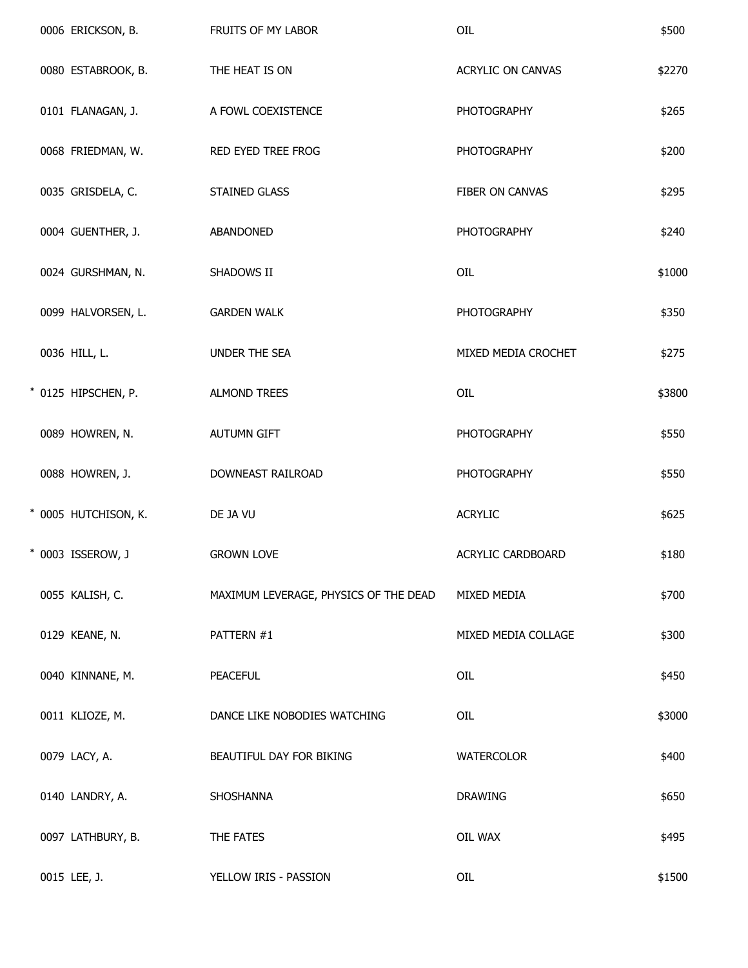|  | 0006 ERICKSON, B.    | FRUITS OF MY LABOR                    | OIL                 | \$500  |
|--|----------------------|---------------------------------------|---------------------|--------|
|  | 0080 ESTABROOK, B.   | THE HEAT IS ON                        | ACRYLIC ON CANVAS   | \$2270 |
|  | 0101 FLANAGAN, J.    | A FOWL COEXISTENCE                    | <b>PHOTOGRAPHY</b>  | \$265  |
|  | 0068 FRIEDMAN, W.    | RED EYED TREE FROG                    | <b>PHOTOGRAPHY</b>  | \$200  |
|  | 0035 GRISDELA, C.    | STAINED GLASS                         | FIBER ON CANVAS     | \$295  |
|  | 0004 GUENTHER, J.    | ABANDONED                             | <b>PHOTOGRAPHY</b>  | \$240  |
|  | 0024 GURSHMAN, N.    | SHADOWS II                            | OIL                 | \$1000 |
|  | 0099 HALVORSEN, L.   | <b>GARDEN WALK</b>                    | <b>PHOTOGRAPHY</b>  | \$350  |
|  | 0036 HILL, L.        | UNDER THE SEA                         | MIXED MEDIA CROCHET | \$275  |
|  | * 0125 HIPSCHEN, P.  | <b>ALMOND TREES</b>                   | OIL                 | \$3800 |
|  | 0089 HOWREN, N.      | <b>AUTUMN GIFT</b>                    | <b>PHOTOGRAPHY</b>  | \$550  |
|  | 0088 HOWREN, J.      | DOWNEAST RAILROAD                     | <b>PHOTOGRAPHY</b>  | \$550  |
|  | * 0005 HUTCHISON, K. | DE JA VU                              | <b>ACRYLIC</b>      | \$625  |
|  | * 0003 ISSEROW, J    | <b>GROWN LOVE</b>                     | ACRYLIC CARDBOARD   | \$180  |
|  | 0055 KALISH, C.      | MAXIMUM LEVERAGE, PHYSICS OF THE DEAD | MIXED MEDIA         | \$700  |
|  | 0129 KEANE, N.       | PATTERN #1                            | MIXED MEDIA COLLAGE | \$300  |
|  | 0040 KINNANE, M.     | <b>PEACEFUL</b>                       | OIL                 | \$450  |
|  | 0011 KLIOZE, M.      | DANCE LIKE NOBODIES WATCHING          | OIL                 | \$3000 |
|  | 0079 LACY, A.        | BEAUTIFUL DAY FOR BIKING              | <b>WATERCOLOR</b>   | \$400  |
|  | 0140 LANDRY, A.      | SHOSHANNA                             | <b>DRAWING</b>      | \$650  |
|  | 0097 LATHBURY, B.    | THE FATES                             | OIL WAX             | \$495  |
|  | 0015 LEE, J.         | YELLOW IRIS - PASSION                 | OIL                 | \$1500 |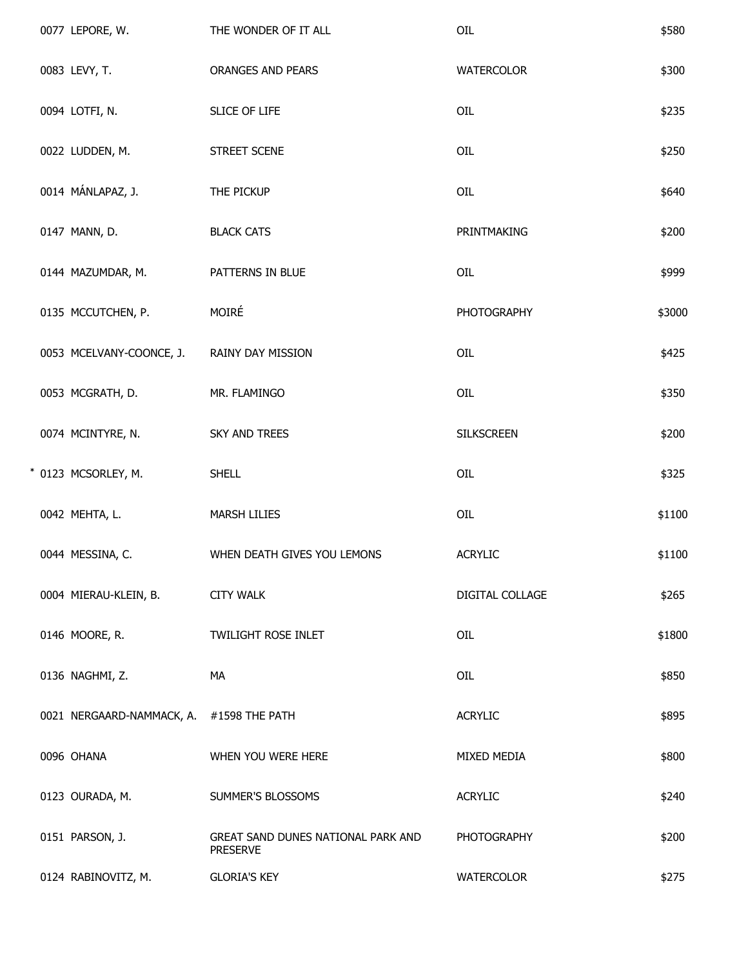|  | 0077 LEPORE, W.                          | THE WONDER OF IT ALL                                  | OIL                | \$580  |
|--|------------------------------------------|-------------------------------------------------------|--------------------|--------|
|  | 0083 LEVY, T.                            | ORANGES AND PEARS                                     | <b>WATERCOLOR</b>  | \$300  |
|  | 0094 LOTFI, N.                           | SLICE OF LIFE                                         | OIL                | \$235  |
|  | 0022 LUDDEN, M.                          | STREET SCENE                                          | OIL                | \$250  |
|  | 0014 MÁNLAPAZ, J.                        | THE PICKUP                                            | OIL                | \$640  |
|  | 0147 MANN, D.                            | <b>BLACK CATS</b>                                     | PRINTMAKING        | \$200  |
|  | 0144 MAZUMDAR, M.                        | PATTERNS IN BLUE                                      | OIL                | \$999  |
|  | 0135 MCCUTCHEN, P.                       | MOIRÉ                                                 | <b>PHOTOGRAPHY</b> | \$3000 |
|  | 0053 MCELVANY-COONCE, J.                 | RAINY DAY MISSION                                     | OIL                | \$425  |
|  | 0053 MCGRATH, D.                         | MR. FLAMINGO                                          | OIL                | \$350  |
|  | 0074 MCINTYRE, N.                        | SKY AND TREES                                         | <b>SILKSCREEN</b>  | \$200  |
|  | * 0123 MCSORLEY, M.                      | <b>SHELL</b>                                          | OIL                | \$325  |
|  | 0042 MEHTA, L.                           | <b>MARSH LILIES</b>                                   | OIL                | \$1100 |
|  | 0044 MESSINA, C.                         | WHEN DEATH GIVES YOU LEMONS                           | <b>ACRYLIC</b>     | \$1100 |
|  | 0004 MIERAU-KLEIN, B.                    | <b>CITY WALK</b>                                      | DIGITAL COLLAGE    | \$265  |
|  | 0146 MOORE, R.                           | TWILIGHT ROSE INLET                                   | OIL                | \$1800 |
|  | 0136 NAGHMI, Z.                          | МA                                                    | OIL                | \$850  |
|  | 0021 NERGAARD-NAMMACK, A. #1598 THE PATH |                                                       | <b>ACRYLIC</b>     | \$895  |
|  | 0096 OHANA                               | WHEN YOU WERE HERE                                    | MIXED MEDIA        | \$800  |
|  | 0123 OURADA, M.                          | SUMMER'S BLOSSOMS                                     | <b>ACRYLIC</b>     | \$240  |
|  | 0151 PARSON, J.                          | GREAT SAND DUNES NATIONAL PARK AND<br><b>PRESERVE</b> | <b>PHOTOGRAPHY</b> | \$200  |
|  | 0124 RABINOVITZ, M.                      | <b>GLORIA'S KEY</b>                                   | <b>WATERCOLOR</b>  | \$275  |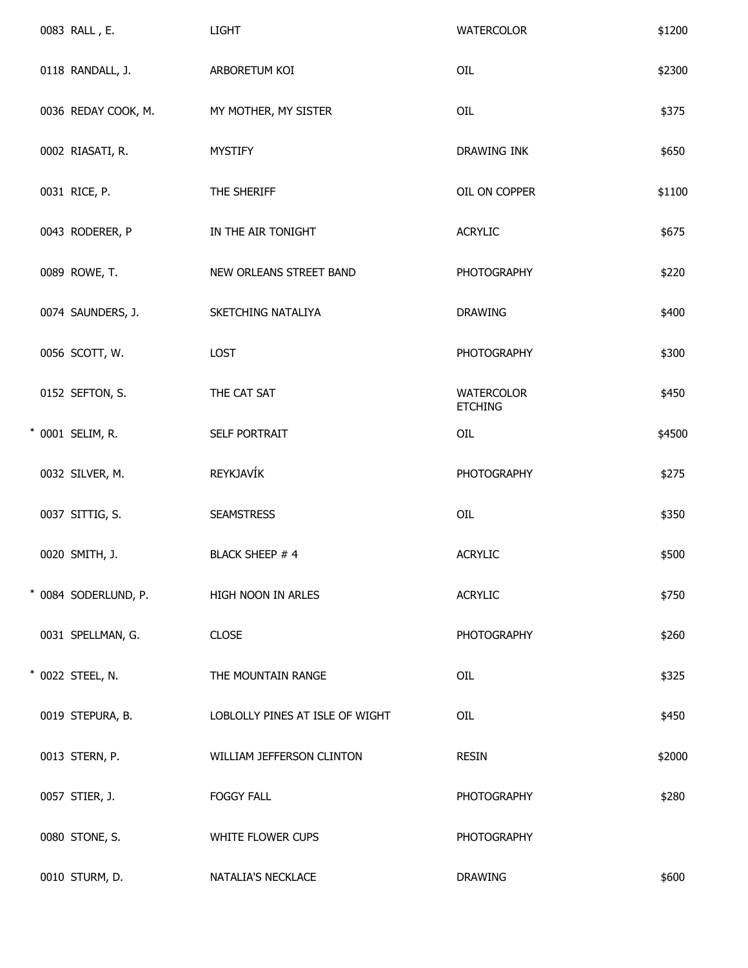|  | 0083 RALL, E.        | <b>LIGHT</b>                    | <b>WATERCOLOR</b>                   | \$1200 |
|--|----------------------|---------------------------------|-------------------------------------|--------|
|  | 0118 RANDALL, J.     | ARBORETUM KOI                   | OIL                                 | \$2300 |
|  | 0036 REDAY COOK, M.  | MY MOTHER, MY SISTER            | OIL                                 | \$375  |
|  | 0002 RIASATI, R.     | <b>MYSTIFY</b>                  | DRAWING INK                         | \$650  |
|  | 0031 RICE, P.        | THE SHERIFF                     | OIL ON COPPER                       | \$1100 |
|  | 0043 RODERER, P      | IN THE AIR TONIGHT              | <b>ACRYLIC</b>                      | \$675  |
|  | 0089 ROWE, T.        | NEW ORLEANS STREET BAND         | <b>PHOTOGRAPHY</b>                  | \$220  |
|  | 0074 SAUNDERS, J.    | SKETCHING NATALIYA              | <b>DRAWING</b>                      | \$400  |
|  | 0056 SCOTT, W.       | LOST                            | <b>PHOTOGRAPHY</b>                  | \$300  |
|  | 0152 SEFTON, S.      | THE CAT SAT                     | <b>WATERCOLOR</b><br><b>ETCHING</b> | \$450  |
|  | * 0001 SELIM, R.     | SELF PORTRAIT                   | OIL                                 | \$4500 |
|  | 0032 SILVER, M.      | REYKJAVÍK                       | <b>PHOTOGRAPHY</b>                  | \$275  |
|  | 0037 SITTIG, S.      | <b>SEAMSTRESS</b>               | OIL                                 | \$350  |
|  | 0020 SMITH, J.       | <b>BLACK SHEEP #4</b>           | <b>ACRYLIC</b>                      | \$500  |
|  | * 0084 SODERLUND, P. | HIGH NOON IN ARLES              | <b>ACRYLIC</b>                      | \$750  |
|  | 0031 SPELLMAN, G.    | <b>CLOSE</b>                    | <b>PHOTOGRAPHY</b>                  | \$260  |
|  | * 0022 STEEL, N.     | THE MOUNTAIN RANGE              | OIL                                 | \$325  |
|  | 0019 STEPURA, B.     | LOBLOLLY PINES AT ISLE OF WIGHT | OIL                                 | \$450  |
|  | 0013 STERN, P.       | WILLIAM JEFFERSON CLINTON       | <b>RESIN</b>                        | \$2000 |
|  | 0057 STIER, J.       | <b>FOGGY FALL</b>               | <b>PHOTOGRAPHY</b>                  | \$280  |
|  | 0080 STONE, S.       | WHITE FLOWER CUPS               | <b>PHOTOGRAPHY</b>                  |        |
|  | 0010 STURM, D.       | NATALIA'S NECKLACE              | <b>DRAWING</b>                      | \$600  |